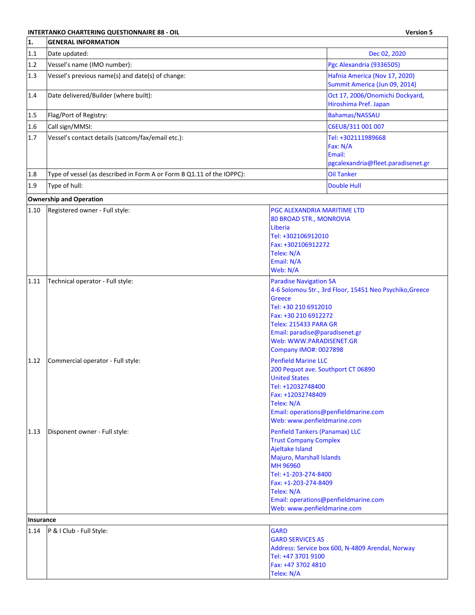#### **INTERTANKO CHARTERING QUESTIONNAIRE 88 - OIL Version 5**

| <b>Version 5</b> |  |
|------------------|--|
|                  |  |

| 1.           | <b>GENERAL INFORMATION</b>                                            |                                                                                                                                                                                                                                                                                                                                                                                                                  |                                                                                |
|--------------|-----------------------------------------------------------------------|------------------------------------------------------------------------------------------------------------------------------------------------------------------------------------------------------------------------------------------------------------------------------------------------------------------------------------------------------------------------------------------------------------------|--------------------------------------------------------------------------------|
| 1.1          | Date updated:                                                         |                                                                                                                                                                                                                                                                                                                                                                                                                  | Dec 02, 2020                                                                   |
| 1.2          | Vessel's name (IMO number):                                           |                                                                                                                                                                                                                                                                                                                                                                                                                  | Pgc Alexandria (9336505)                                                       |
| 1.3          | Vessel's previous name(s) and date(s) of change:                      |                                                                                                                                                                                                                                                                                                                                                                                                                  | Hafnia America (Nov 17, 2020)<br>Summit America (Jun 09, 2014)                 |
| 1.4          | Date delivered/Builder (where built):                                 |                                                                                                                                                                                                                                                                                                                                                                                                                  | Oct 17, 2006/Onomichi Dockyard,<br>Hiroshima Pref. Japan                       |
| 1.5          | Flag/Port of Registry:                                                |                                                                                                                                                                                                                                                                                                                                                                                                                  | Bahamas/NASSAU                                                                 |
| 1.6          | Call sign/MMSI:                                                       |                                                                                                                                                                                                                                                                                                                                                                                                                  | C6EU8/311 001 007                                                              |
| 1.7          | Vessel's contact details (satcom/fax/email etc.):                     |                                                                                                                                                                                                                                                                                                                                                                                                                  | Tel: +302111989668<br>Fax: N/A<br>Email:<br>pgcalexandria@fleet.paradisenet.gr |
| 1.8          | Type of vessel (as described in Form A or Form B Q1.11 of the IOPPC): |                                                                                                                                                                                                                                                                                                                                                                                                                  | <b>Oil Tanker</b>                                                              |
| 1.9          | Type of hull:                                                         |                                                                                                                                                                                                                                                                                                                                                                                                                  | <b>Double Hull</b>                                                             |
|              | <b>Ownership and Operation</b>                                        |                                                                                                                                                                                                                                                                                                                                                                                                                  |                                                                                |
| 1.10         | Registered owner - Full style:                                        | PGC ALEXANDRIA MARITIME LTD<br>80 BROAD STR., MONROVIA<br>Liberia<br>Tel: +302106912010<br>Fax: +302106912272<br>Telex: N/A<br>Email: N/A<br>Web: N/A                                                                                                                                                                                                                                                            |                                                                                |
| 1.11         | Technical operator - Full style:                                      | <b>Paradise Navigation SA</b><br>Greece<br>Tel: +30 210 6912010<br>Fax: +30 210 6912272<br><b>Telex: 215433 PARA GR</b><br>Email: paradise@paradisenet.gr<br>Web: WWW.PARADISENET.GR<br><b>Company IMO#: 0027898</b>                                                                                                                                                                                             | 4-6 Solomou Str., 3rd Floor, 15451 Neo Psychiko, Greece                        |
| 1.12<br>1.13 | Commercial operator - Full style:<br>Disponent owner - Full style:    | <b>Penfield Marine LLC</b><br>200 Pequot ave. Southport CT 06890<br><b>United States</b><br>Tel: +12032748400<br>Fax: +12032748409<br>Telex: N/A<br>Web: www.penfieldmarine.com<br><b>Penfield Tankers (Panamax) LLC</b><br><b>Trust Company Complex</b><br>Ajeltake Island<br>Majuro, Marshall Islands<br>MH 96960<br>Tel: +1-203-274-8400<br>Fax: +1-203-274-8409<br>Telex: N/A<br>Web: www.penfieldmarine.com | Email: operations@penfieldmarine.com<br>Email: operations@penfieldmarine.com   |
| Insurance    |                                                                       |                                                                                                                                                                                                                                                                                                                                                                                                                  |                                                                                |
| 1.14         | P & I Club - Full Style:                                              | <b>GARD</b><br><b>GARD SERVICES AS</b><br>Tel: +47 3701 9100<br>Fax: +47 3702 4810<br>Telex: N/A                                                                                                                                                                                                                                                                                                                 | Address: Service box 600, N-4809 Arendal, Norway                               |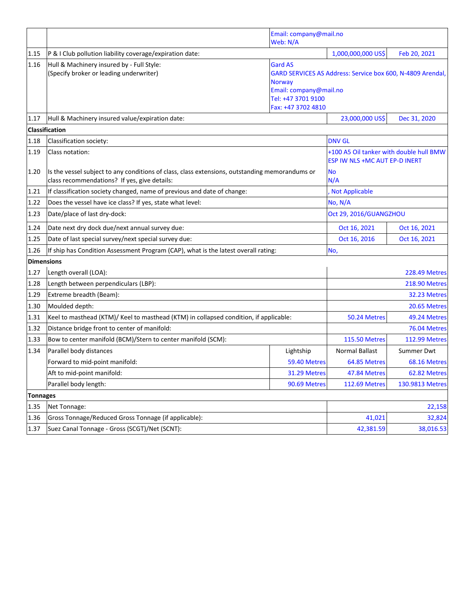|                   | Email: company@mail.no<br>Web: N/A                                                                                                             |                                                                                                       |                                                                          |                      |
|-------------------|------------------------------------------------------------------------------------------------------------------------------------------------|-------------------------------------------------------------------------------------------------------|--------------------------------------------------------------------------|----------------------|
| 1.15              | P & I Club pollution liability coverage/expiration date:                                                                                       |                                                                                                       | 1,000,000,000 US\$                                                       | Feb 20, 2021         |
| 1.16              | Hull & Machinery insured by - Full Style:<br>(Specify broker or leading underwriter)                                                           | <b>Gard AS</b><br><b>Norway</b><br>Email: company@mail.no<br>Tel: +47 3701 9100<br>Fax: +47 3702 4810 | GARD SERVICES AS Address: Service box 600, N-4809 Arendal,               |                      |
| 1.17              | Hull & Machinery insured value/expiration date:                                                                                                |                                                                                                       | 23,000,000 US\$                                                          | Dec 31, 2020         |
|                   | <b>Classification</b>                                                                                                                          |                                                                                                       |                                                                          |                      |
| 1.18              | Classification society:                                                                                                                        |                                                                                                       | <b>DNV GL</b>                                                            |                      |
| 1.19              | Class notation:                                                                                                                                |                                                                                                       | +100 A5 Oil tanker with double hull BMW<br>ESP IW NLS +MC AUT EP-D INERT |                      |
| 1.20              | Is the vessel subject to any conditions of class, class extensions, outstanding memorandums or<br>class recommendations? If yes, give details: |                                                                                                       | <b>No</b><br>N/A                                                         |                      |
| 1.21              | If classification society changed, name of previous and date of change:                                                                        |                                                                                                       | <b>Not Applicable</b>                                                    |                      |
| 1.22              | Does the vessel have ice class? If yes, state what level:                                                                                      |                                                                                                       | No, N/A                                                                  |                      |
| 1.23              | Date/place of last dry-dock:                                                                                                                   |                                                                                                       | Oct 29, 2016/GUANGZHOU                                                   |                      |
| 1.24              | Date next dry dock due/next annual survey due:                                                                                                 |                                                                                                       | Oct 16, 2021                                                             | Oct 16, 2021         |
| 1.25              | Date of last special survey/next special survey due:                                                                                           |                                                                                                       | Oct 16, 2016                                                             | Oct 16, 2021         |
| 1.26              | If ship has Condition Assessment Program (CAP), what is the latest overall rating:                                                             |                                                                                                       | No,                                                                      |                      |
| <b>Dimensions</b> |                                                                                                                                                |                                                                                                       |                                                                          |                      |
| 1.27              | Length overall (LOA):                                                                                                                          |                                                                                                       |                                                                          | <b>228.49 Metres</b> |
| 1.28              | Length between perpendiculars (LBP):                                                                                                           |                                                                                                       | <b>218.90 Metres</b>                                                     |                      |
| 1.29              | Extreme breadth (Beam):                                                                                                                        |                                                                                                       |                                                                          | 32.23 Metres         |
| 1.30              | Moulded depth:                                                                                                                                 |                                                                                                       |                                                                          | 20.65 Metres         |
| 1.31              | Keel to masthead (KTM)/ Keel to masthead (KTM) in collapsed condition, if applicable:                                                          |                                                                                                       | 50.24 Metres                                                             | 49.24 Metres         |
| 1.32              | Distance bridge front to center of manifold:                                                                                                   |                                                                                                       |                                                                          | 76.04 Metres         |
| 1.33              | Bow to center manifold (BCM)/Stern to center manifold (SCM):                                                                                   |                                                                                                       | <b>115.50 Metres</b>                                                     | <b>112.99 Metres</b> |
| 1.34              | Parallel body distances                                                                                                                        | Lightship                                                                                             | Normal Ballast                                                           | Summer Dwt           |
|                   | Forward to mid-point manifold:                                                                                                                 | 59.40 Metres                                                                                          | 64.85 Metres                                                             | 68.16 Metres         |
|                   | Aft to mid-point manifold:                                                                                                                     | 31.29 Metres                                                                                          | 47.84 Metres                                                             | 62.82 Metres         |
|                   | Parallel body length:                                                                                                                          | 90.69 Metres                                                                                          | <b>112.69 Metres</b>                                                     | 130.9813 Metres      |
| <b>Tonnages</b>   |                                                                                                                                                |                                                                                                       |                                                                          |                      |
| 1.35              | Net Tonnage:                                                                                                                                   |                                                                                                       |                                                                          | 22,158               |
| 1.36              | Gross Tonnage/Reduced Gross Tonnage (if applicable):                                                                                           |                                                                                                       | 41,021                                                                   | 32,824               |
| 1.37              | Suez Canal Tonnage - Gross (SCGT)/Net (SCNT):                                                                                                  |                                                                                                       | 42,381.59                                                                | 38,016.53            |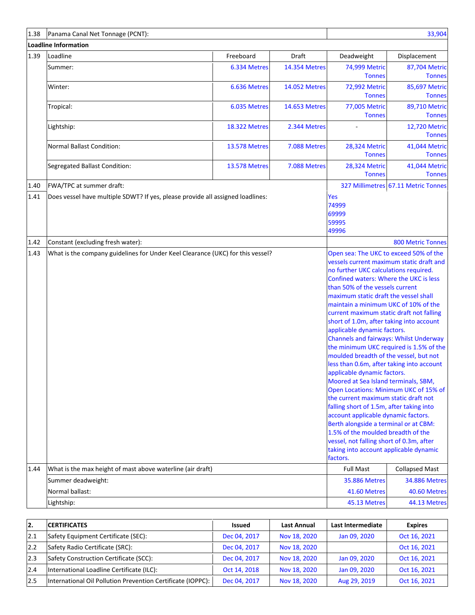| 1.38 | Panama Canal Net Tonnage (PCNT):                                                                                                                                                                                                                                                                                                                                                                                                                                                                                                                                                                                                                                                                                                                                                                                                                                                                                                                                                                                                                                                                                          |                      |                      |                                       | 33,904                              |  |
|------|---------------------------------------------------------------------------------------------------------------------------------------------------------------------------------------------------------------------------------------------------------------------------------------------------------------------------------------------------------------------------------------------------------------------------------------------------------------------------------------------------------------------------------------------------------------------------------------------------------------------------------------------------------------------------------------------------------------------------------------------------------------------------------------------------------------------------------------------------------------------------------------------------------------------------------------------------------------------------------------------------------------------------------------------------------------------------------------------------------------------------|----------------------|----------------------|---------------------------------------|-------------------------------------|--|
|      | Loadline Information                                                                                                                                                                                                                                                                                                                                                                                                                                                                                                                                                                                                                                                                                                                                                                                                                                                                                                                                                                                                                                                                                                      |                      |                      |                                       |                                     |  |
| 1.39 | Loadline                                                                                                                                                                                                                                                                                                                                                                                                                                                                                                                                                                                                                                                                                                                                                                                                                                                                                                                                                                                                                                                                                                                  | Freeboard            | Draft                | Deadweight                            | Displacement                        |  |
|      | Summer:                                                                                                                                                                                                                                                                                                                                                                                                                                                                                                                                                                                                                                                                                                                                                                                                                                                                                                                                                                                                                                                                                                                   | 6.334 Metres         | <b>14.354 Metres</b> | 74,999 Metric<br><b>Tonnes</b>        | 87,704 Metric<br><b>Tonnes</b>      |  |
|      | Winter:                                                                                                                                                                                                                                                                                                                                                                                                                                                                                                                                                                                                                                                                                                                                                                                                                                                                                                                                                                                                                                                                                                                   | 6.636 Metres         | <b>14.052 Metres</b> | 72,992 Metric<br><b>Tonnes</b>        | 85,697 Metric<br><b>Tonnes</b>      |  |
|      | Tropical:                                                                                                                                                                                                                                                                                                                                                                                                                                                                                                                                                                                                                                                                                                                                                                                                                                                                                                                                                                                                                                                                                                                 | 6.035 Metres         | 14.653 Metres        | 77,005 Metric<br><b>Tonnes</b>        | 89,710 Metric<br><b>Tonnes</b>      |  |
|      | Lightship:                                                                                                                                                                                                                                                                                                                                                                                                                                                                                                                                                                                                                                                                                                                                                                                                                                                                                                                                                                                                                                                                                                                | <b>18.322 Metres</b> | 2.344 Metres         |                                       | 12,720 Metric<br><b>Tonnes</b>      |  |
|      | Normal Ballast Condition:                                                                                                                                                                                                                                                                                                                                                                                                                                                                                                                                                                                                                                                                                                                                                                                                                                                                                                                                                                                                                                                                                                 | <b>13.578 Metres</b> | 7.088 Metres         | <b>28,324 Metric</b><br><b>Tonnes</b> | 41,044 Metric<br><b>Tonnes</b>      |  |
|      | Segregated Ballast Condition:                                                                                                                                                                                                                                                                                                                                                                                                                                                                                                                                                                                                                                                                                                                                                                                                                                                                                                                                                                                                                                                                                             | <b>13.578 Metres</b> | 7.088 Metres         | 28,324 Metric<br><b>Tonnes</b>        | 41,044 Metric<br><b>Tonnes</b>      |  |
| 1.40 | FWA/TPC at summer draft:                                                                                                                                                                                                                                                                                                                                                                                                                                                                                                                                                                                                                                                                                                                                                                                                                                                                                                                                                                                                                                                                                                  |                      |                      |                                       | 327 Millimetres 67.11 Metric Tonnes |  |
| 1.41 | Yes<br>Does vessel have multiple SDWT? If yes, please provide all assigned loadlines:<br>74999<br>69999<br>59995<br>49996                                                                                                                                                                                                                                                                                                                                                                                                                                                                                                                                                                                                                                                                                                                                                                                                                                                                                                                                                                                                 |                      |                      |                                       |                                     |  |
| 1.42 | Constant (excluding fresh water):                                                                                                                                                                                                                                                                                                                                                                                                                                                                                                                                                                                                                                                                                                                                                                                                                                                                                                                                                                                                                                                                                         |                      |                      |                                       | <b>800 Metric Tonnes</b>            |  |
|      | 1.43<br>What is the company guidelines for Under Keel Clearance (UKC) for this vessel?<br>Open sea: The UKC to exceed 50% of the<br>vessels current maximum static draft and<br>no further UKC calculations required.<br>Confined waters: Where the UKC is less<br>than 50% of the vessels current<br>maximum static draft the vessel shall<br>maintain a minimum UKC of 10% of the<br>current maximum static draft not falling<br>short of 1.0m, after taking into account<br>applicable dynamic factors.<br><b>Channels and fairways: Whilst Underway</b><br>the minimum UKC required is 1.5% of the<br>moulded breadth of the vessel, but not<br>less than 0.6m, after taking into account<br>applicable dynamic factors.<br>Moored at Sea Island terminals, SBM,<br>Open Locations: Minimum UKC of 15% of<br>the current maximum static draft not<br>falling short of 1.5m, after taking into<br>account applicable dynamic factors.<br>Berth alongside a terminal or at CBM:<br>1.5% of the moulded breadth of the<br>vessel, not falling short of 0.3m, after<br>taking into account applicable dynamic<br>factors. |                      |                      |                                       |                                     |  |
| 1.44 | What is the max height of mast above waterline (air draft)                                                                                                                                                                                                                                                                                                                                                                                                                                                                                                                                                                                                                                                                                                                                                                                                                                                                                                                                                                                                                                                                |                      |                      | <b>Full Mast</b>                      | <b>Collapsed Mast</b>               |  |
|      | Summer deadweight:                                                                                                                                                                                                                                                                                                                                                                                                                                                                                                                                                                                                                                                                                                                                                                                                                                                                                                                                                                                                                                                                                                        |                      |                      | <b>35.886 Metres</b>                  | <b>34.886 Metres</b>                |  |
|      | Normal ballast:                                                                                                                                                                                                                                                                                                                                                                                                                                                                                                                                                                                                                                                                                                                                                                                                                                                                                                                                                                                                                                                                                                           |                      |                      | 41.60 Metres                          | 40.60 Metres                        |  |
|      | Lightship:                                                                                                                                                                                                                                                                                                                                                                                                                                                                                                                                                                                                                                                                                                                                                                                                                                                                                                                                                                                                                                                                                                                |                      |                      | 45.13 Metres                          | 44.13 Metres                        |  |

| 12.  | <b>CERTIFICATES</b>                                         | Issued       | <b>Last Annual</b> | Last Intermediate | <b>Expires</b> |
|------|-------------------------------------------------------------|--------------|--------------------|-------------------|----------------|
| 12.1 | Safety Equipment Certificate (SEC):                         | Dec 04, 2017 | Nov 18, 2020       | Jan 09, 2020      | Oct 16, 2021   |
| 12.2 | Safety Radio Certificate (SRC):                             | Dec 04, 2017 | Nov 18, 2020       |                   | Oct 16, 2021   |
| 12.3 | Safety Construction Certificate (SCC):                      | Dec 04, 2017 | Nov 18, 2020       | Jan 09, 2020      | Oct 16, 2021   |
| 12.4 | International Loadline Certificate (ILC):                   | Oct 14, 2018 | Nov 18, 2020       | Jan 09, 2020      | Oct 16, 2021   |
| 12.5 | International Oil Pollution Prevention Certificate (IOPPC): | Dec 04, 2017 | Nov 18, 2020       | Aug 29, 2019      | Oct 16, 2021   |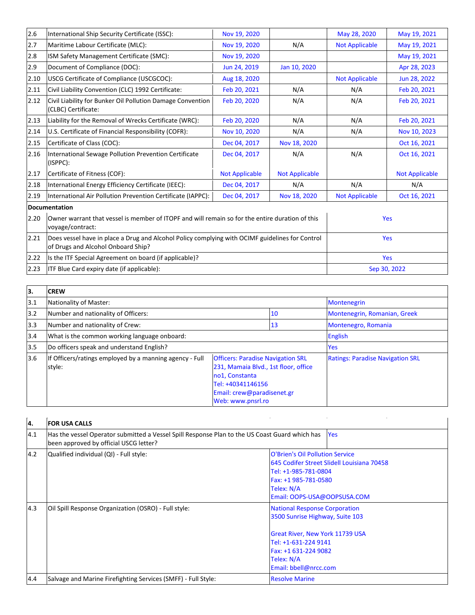| 2.6                                                | International Ship Security Certificate (ISSC):                                                                                       | Nov 19, 2020          |                       | May 28, 2020          | May 19, 2021          |
|----------------------------------------------------|---------------------------------------------------------------------------------------------------------------------------------------|-----------------------|-----------------------|-----------------------|-----------------------|
| 2.7                                                | Maritime Labour Certificate (MLC):                                                                                                    | Nov 19, 2020          | N/A                   | <b>Not Applicable</b> | May 19, 2021          |
| 2.8                                                | ISM Safety Management Certificate (SMC):                                                                                              | Nov 19, 2020          |                       |                       | May 19, 2021          |
| 2.9                                                | Document of Compliance (DOC):                                                                                                         | Jun 24, 2019          | Jan 10, 2020          |                       | Apr 28, 2023          |
| 2.10                                               | USCG Certificate of Compliance (USCGCOC):                                                                                             | Aug 18, 2020          |                       | <b>Not Applicable</b> | Jun 28, 2022          |
| 2.11                                               | Civil Liability Convention (CLC) 1992 Certificate:                                                                                    | Feb 20, 2021          | N/A                   | N/A                   | Feb 20, 2021          |
| 2.12                                               | Civil Liability for Bunker Oil Pollution Damage Convention<br>(CLBC) Certificate:                                                     | Feb 20, 2020          | N/A                   | N/A                   | Feb 20, 2021          |
| 2.13                                               | Liability for the Removal of Wrecks Certificate (WRC):                                                                                | Feb 20, 2020          | N/A                   | N/A                   | Feb 20, 2021          |
| 2.14                                               | U.S. Certificate of Financial Responsibility (COFR):                                                                                  | Nov 10, 2020          | N/A                   | N/A                   | Nov 10, 2023          |
| 2.15                                               | Certificate of Class (COC):                                                                                                           | Dec 04, 2017          | Nov 18, 2020          |                       | Oct 16, 2021          |
| 2.16                                               | International Sewage Pollution Prevention Certificate<br>(ISPPC):                                                                     | Dec 04, 2017          | N/A                   | N/A                   | Oct 16, 2021          |
| 2.17                                               | Certificate of Fitness (COF):                                                                                                         | <b>Not Applicable</b> | <b>Not Applicable</b> |                       | <b>Not Applicable</b> |
| 2.18                                               | International Energy Efficiency Certificate (IEEC):                                                                                   | Dec 04, 2017          | N/A                   | N/A                   | N/A                   |
| 2.19                                               | International Air Pollution Prevention Certificate (IAPPC):                                                                           | Dec 04, 2017          | Nov 18, 2020          | <b>Not Applicable</b> | Oct 16, 2021          |
|                                                    | <b>Documentation</b>                                                                                                                  |                       |                       |                       |                       |
| 2.20                                               | Owner warrant that vessel is member of ITOPF and will remain so for the entire duration of this<br>voyage/contract:                   |                       |                       |                       | Yes                   |
| 2.21                                               | Does vessel have in place a Drug and Alcohol Policy complying with OCIMF guidelines for Control<br>of Drugs and Alcohol Onboard Ship? |                       |                       | Yes                   |                       |
| 2.22                                               | Is the ITF Special Agreement on board (if applicable)?                                                                                |                       |                       | <b>Yes</b>            |                       |
| ITF Blue Card expiry date (if applicable):<br>2.23 |                                                                                                                                       |                       | Sep 30, 2022          |                       |                       |

| 13.  | <b>CREW</b>                                                       |                                                                                                                                                                            |    |                                         |
|------|-------------------------------------------------------------------|----------------------------------------------------------------------------------------------------------------------------------------------------------------------------|----|-----------------------------------------|
| 3.1  | Nationality of Master:                                            |                                                                                                                                                                            |    | <b>Montenegrin</b>                      |
| 3.2  | Number and nationality of Officers:                               |                                                                                                                                                                            | 10 | Montenegrin, Romanian, Greek            |
| 13.3 | Number and nationality of Crew:                                   |                                                                                                                                                                            | 13 | Montenegro, Romania                     |
| 3.4  | What is the common working language onboard:                      |                                                                                                                                                                            |    | <b>English</b>                          |
| 3.5  | Do officers speak and understand English?                         |                                                                                                                                                                            |    | Yes                                     |
| 3.6  | If Officers/ratings employed by a manning agency - Full<br>style: | <b>Officers: Paradise Navigation SRL</b><br>231, Mamaia Blvd., 1st floor, office<br>no1, Constanta<br>Tel: +40341146156<br>Email: crew@paradisenet.gr<br>Web: www.pnsrl.ro |    | <b>Ratings: Paradise Navigation SRL</b> |

| 4.  | <b>FOR USA CALLS</b>                                                                                                                     |                                                                                                                                                                                                   |  |
|-----|------------------------------------------------------------------------------------------------------------------------------------------|---------------------------------------------------------------------------------------------------------------------------------------------------------------------------------------------------|--|
| 4.1 | Has the vessel Operator submitted a Vessel Spill Response Plan to the US Coast Guard which has<br>been approved by official USCG letter? | <b>Yes</b>                                                                                                                                                                                        |  |
| 4.2 | Qualified individual (QI) - Full style:                                                                                                  | O'Brien's Oil Pollution Service<br>645 Codifer Street Slidell Louisiana 70458<br>Tel: +1-985-781-0804<br>Fax: +1 985-781-0580<br>Telex: N/A<br>Email: OOPS-USA@OOPSUSA.COM                        |  |
| 4.3 | Oil Spill Response Organization (OSRO) - Full style:                                                                                     | <b>National Response Corporation</b><br>3500 Sunrise Highway, Suite 103<br>Great River, New York 11739 USA<br>Tel: +1-631-224 9141<br>Fax: +1 631-224 9082<br>Telex: N/A<br>Email: bbell@nrcc.com |  |
| 4.4 | Salvage and Marine Firefighting Services (SMFF) - Full Style:                                                                            | <b>Resolve Marine</b>                                                                                                                                                                             |  |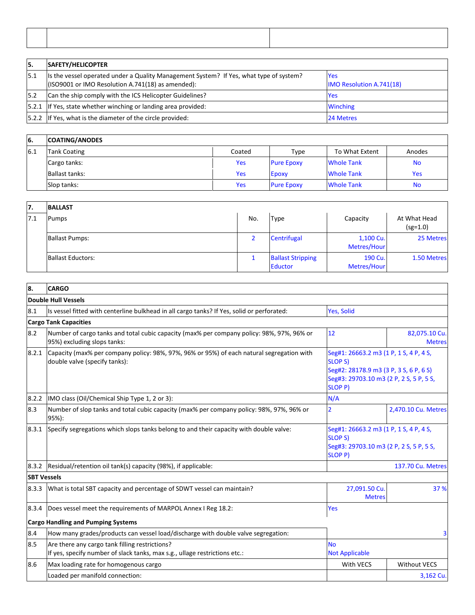| 15.  | <b>SAFETY/HELICOPTER</b>                                                                                                                     |                                               |
|------|----------------------------------------------------------------------------------------------------------------------------------------------|-----------------------------------------------|
| 15.1 | Its the vessel operated under a Quality Management System? If Yes, what type of system?<br>(ISO9001 or IMO Resolution A.741(18) as amended): | <b>Yes</b><br><b>IMO Resolution A.741(18)</b> |
| 15.2 | Can the ship comply with the ICS Helicopter Guidelines?                                                                                      | <b>Yes</b>                                    |
|      | [5.2.1 If Yes, state whether winching or landing area provided:                                                                              | <b>Winching</b>                               |
|      | [5.2.2 If Yes, what is the diameter of the circle provided:                                                                                  | 24 Metres                                     |

### L, L, **6. COATING/ANODES** 6.1 Tank Coating **Coated** Coated Type To What Extent Anodes Cargo tanks: Notified the Secondary School of the Yes Pure Epoxy Note Tank Note Tank Note Tank Note Tank Note T Ballast tanks: Yes Epoxy Whole Tank Yes Slop tanks: Notifiably a state of the Modern Herbert Controller and Modern Herbert Modern Herbert Albert Moder

 $\overline{1}$ 

# **7. BALLAST**

| .   | .                        |     |                                     |                          |                            |
|-----|--------------------------|-----|-------------------------------------|--------------------------|----------------------------|
| 7.1 | Pumps                    | No. | <b>Type</b>                         | Capacity                 | At What Head<br>$(sg=1.0)$ |
|     | <b>Ballast Pumps:</b>    |     | Centrifugal                         | 1,100 Cu.<br>Metres/Hour | 25 Metres                  |
|     | <b>Ballast Eductors:</b> |     | <b>Ballast Stripping</b><br>Eductor | 190 Cu.<br>Metres/Hour   | 1.50 Metres                |

i

÷

i,

## **8. CARGO**

# **Double Hull Vessels**

|                    | ройме пин теззеіз                                                                                                            |                                                                                                                                                                 |                                |
|--------------------|------------------------------------------------------------------------------------------------------------------------------|-----------------------------------------------------------------------------------------------------------------------------------------------------------------|--------------------------------|
| 8.1                | Is vessel fitted with centerline bulkhead in all cargo tanks? If Yes, solid or perforated:                                   | Yes, Solid                                                                                                                                                      |                                |
|                    | <b>Cargo Tank Capacities</b>                                                                                                 |                                                                                                                                                                 |                                |
| 8.2                | Number of cargo tanks and total cubic capacity (max% per company policy: 98%, 97%, 96% or<br>95%) excluding slops tanks:     | 12                                                                                                                                                              | 82,075.10 Cu.<br><b>Metres</b> |
| 8.2.1              | Capacity (max% per company policy: 98%, 97%, 96% or 95%) of each natural segregation with<br>double valve (specify tanks):   | Seg#1: 26663.2 m3 (1 P, 1 S, 4 P, 4 S,<br><b>SLOP S)</b><br>Seg#2: 28178.9 m3 (3 P, 3 S, 6 P, 6 S)<br>Seg#3: 29703.10 m3 (2 P, 2 S, 5 P, 5 S,<br><b>SLOP P)</b> |                                |
| 8.2.2              | IMO class (Oil/Chemical Ship Type 1, 2 or 3):                                                                                | N/A                                                                                                                                                             |                                |
| 8.3                | Number of slop tanks and total cubic capacity (max% per company policy: 98%, 97%, 96% or<br>95%):                            | $\overline{2}$                                                                                                                                                  | 2,470.10 Cu. Metres            |
| 8.3.1              | Specify segregations which slops tanks belong to and their capacity with double valve:                                       | Seg#1: 26663.2 m3 (1 P, 1 S, 4 P, 4 S,<br><b>SLOP S)</b><br>Seg#3: 29703.10 m3 (2 P, 2 S, 5 P, 5 S,<br><b>SLOP P)</b>                                           |                                |
| 8.3.2              | Residual/retention oil tank(s) capacity (98%), if applicable:                                                                |                                                                                                                                                                 | 137.70 Cu. Metres              |
| <b>SBT Vessels</b> |                                                                                                                              |                                                                                                                                                                 |                                |
| 8.3.3              | What is total SBT capacity and percentage of SDWT vessel can maintain?                                                       | 27,091.50 Cu.<br><b>Metres</b>                                                                                                                                  | 37 %                           |
| 8.3.4              | Does vessel meet the requirements of MARPOL Annex I Reg 18.2:                                                                | Yes                                                                                                                                                             |                                |
|                    | <b>Cargo Handling and Pumping Systems</b>                                                                                    |                                                                                                                                                                 |                                |
| 8.4                | How many grades/products can vessel load/discharge with double valve segregation:                                            |                                                                                                                                                                 |                                |
| 8.5                | Are there any cargo tank filling restrictions?<br>If yes, specify number of slack tanks, max s.g., ullage restrictions etc.: | <b>No</b><br><b>Not Applicable</b>                                                                                                                              |                                |
| 8.6                | Max loading rate for homogenous cargo                                                                                        | With VECS                                                                                                                                                       | <b>Without VECS</b>            |
|                    | Loaded per manifold connection:                                                                                              |                                                                                                                                                                 | 3,162 Cu.                      |
|                    |                                                                                                                              |                                                                                                                                                                 |                                |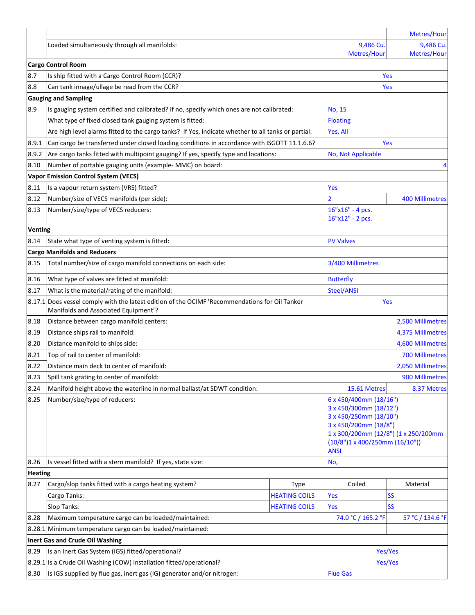|         |                                                                                                                                        |                      |                                                                                 | Metres/Hour                    |  |  |
|---------|----------------------------------------------------------------------------------------------------------------------------------------|----------------------|---------------------------------------------------------------------------------|--------------------------------|--|--|
|         | Loaded simultaneously through all manifolds:                                                                                           |                      | 9,486 Cu.<br>Metres/Hour                                                        | 9,486 Cu.<br>Metres/Hour       |  |  |
|         | <b>Cargo Control Room</b>                                                                                                              |                      |                                                                                 |                                |  |  |
| 8.7     | Is ship fitted with a Cargo Control Room (CCR)?                                                                                        | <b>Yes</b>           |                                                                                 |                                |  |  |
| 8.8     | Can tank innage/ullage be read from the CCR?                                                                                           |                      |                                                                                 | <b>Yes</b>                     |  |  |
|         | <b>Gauging and Sampling</b>                                                                                                            |                      |                                                                                 |                                |  |  |
| 8.9     | Is gauging system certified and calibrated? If no, specify which ones are not calibrated:                                              |                      | No, 15                                                                          |                                |  |  |
|         | What type of fixed closed tank gauging system is fitted:                                                                               |                      | <b>Floating</b>                                                                 |                                |  |  |
|         | Are high level alarms fitted to the cargo tanks? If Yes, indicate whether to all tanks or partial:                                     |                      | Yes, All                                                                        |                                |  |  |
| 8.9.1   | Can cargo be transferred under closed loading conditions in accordance with ISGOTT 11.1.6.6?                                           |                      | Yes                                                                             |                                |  |  |
| 8.9.2   | Are cargo tanks fitted with multipoint gauging? If yes, specify type and locations:                                                    |                      | No, Not Applicable                                                              |                                |  |  |
| 8.10    | Number of portable gauging units (example- MMC) on board:                                                                              |                      |                                                                                 | 4                              |  |  |
|         | <b>Vapor Emission Control System (VECS)</b>                                                                                            |                      |                                                                                 |                                |  |  |
| 8.11    | Is a vapour return system (VRS) fitted?                                                                                                |                      | Yes                                                                             |                                |  |  |
| 8.12    | Number/size of VECS manifolds (per side):                                                                                              |                      | $\overline{2}$                                                                  | <b>400 Millimetres</b>         |  |  |
| 8.13    | Number/size/type of VECS reducers:                                                                                                     |                      | 16"x16" - 4 pcs.                                                                |                                |  |  |
|         |                                                                                                                                        |                      | 16"x12" - 2 pcs.                                                                |                                |  |  |
| Venting |                                                                                                                                        |                      |                                                                                 |                                |  |  |
| 8.14    | State what type of venting system is fitted:                                                                                           |                      | <b>PV Valves</b>                                                                |                                |  |  |
|         | <b>Cargo Manifolds and Reducers</b>                                                                                                    |                      |                                                                                 |                                |  |  |
| 8.15    | Total number/size of cargo manifold connections on each side:                                                                          |                      | 3/400 Millimetres                                                               |                                |  |  |
| 8.16    | What type of valves are fitted at manifold:                                                                                            |                      | <b>Butterfly</b>                                                                |                                |  |  |
| 8.17    | What is the material/rating of the manifold:                                                                                           | Steel/ANSI           |                                                                                 |                                |  |  |
|         | 8.17.1 Does vessel comply with the latest edition of the OCIMF 'Recommendations for Oil Tanker<br>Manifolds and Associated Equipment'? |                      | Yes                                                                             |                                |  |  |
| 8.18    | Distance between cargo manifold centers:                                                                                               |                      |                                                                                 |                                |  |  |
| 8.19    | Distance ships rail to manifold:                                                                                                       |                      | 2,500 Millimetres<br>4,375 Millimetres                                          |                                |  |  |
| 8.20    | Distance manifold to ships side:                                                                                                       |                      |                                                                                 |                                |  |  |
| 8.21    | Top of rail to center of manifold:                                                                                                     |                      | 4,600 Millimetres<br>700 Millimetres                                            |                                |  |  |
| 8.22    | Distance main deck to center of manifold:                                                                                              |                      | 2,050 Millimetres                                                               |                                |  |  |
|         |                                                                                                                                        |                      |                                                                                 |                                |  |  |
| 8.23    | Spill tank grating to center of manifold:                                                                                              |                      |                                                                                 | 900 Millimetres<br>8.37 Metres |  |  |
| 8.24    | Manifold height above the waterline in normal ballast/at SDWT condition:                                                               |                      | 15.61 Metres                                                                    |                                |  |  |
| 8.25    | Number/size/type of reducers:                                                                                                          |                      | 6 x 450/400mm (18/16")<br>3 x 450/300mm (18/12")                                |                                |  |  |
|         |                                                                                                                                        |                      | 3 x 450/250mm (18/10")                                                          |                                |  |  |
|         |                                                                                                                                        |                      | 3 x 450/200mm (18/8")                                                           |                                |  |  |
|         |                                                                                                                                        |                      | 1 x 300/200mm (12/8") (1 x 250/200mm<br>$(10/8")1 \times 400/250$ mm $(16/10")$ |                                |  |  |
|         |                                                                                                                                        |                      | <b>ANSI</b>                                                                     |                                |  |  |
| 8.26    | Is vessel fitted with a stern manifold? If yes, state size:                                                                            |                      | No,                                                                             |                                |  |  |
|         | <b>Heating</b>                                                                                                                         |                      |                                                                                 |                                |  |  |
| 8.27    | Cargo/slop tanks fitted with a cargo heating system?                                                                                   | Type                 | Coiled                                                                          | Material                       |  |  |
|         | Cargo Tanks:                                                                                                                           | <b>HEATING COILS</b> | Yes                                                                             | <b>SS</b>                      |  |  |
|         | Slop Tanks:                                                                                                                            | <b>HEATING COILS</b> | Yes                                                                             | <b>SS</b>                      |  |  |
| 8.28    | Maximum temperature cargo can be loaded/maintained:                                                                                    |                      | 74.0 °C / 165.2 °F                                                              | 57 °C / 134.6 °F               |  |  |
|         | 8.28.1 Minimum temperature cargo can be loaded/maintained:                                                                             |                      |                                                                                 |                                |  |  |
|         | Inert Gas and Crude Oil Washing                                                                                                        |                      |                                                                                 |                                |  |  |
| 8.29    | Is an Inert Gas System (IGS) fitted/operational?<br>Yes/Yes                                                                            |                      |                                                                                 |                                |  |  |
|         | 8.29.1 Is a Crude Oil Washing (COW) installation fitted/operational?                                                                   | Yes/Yes              |                                                                                 |                                |  |  |
| 8.30    | Is IGS supplied by flue gas, inert gas (IG) generator and/or nitrogen:                                                                 |                      | <b>Flue Gas</b>                                                                 |                                |  |  |
|         |                                                                                                                                        |                      |                                                                                 |                                |  |  |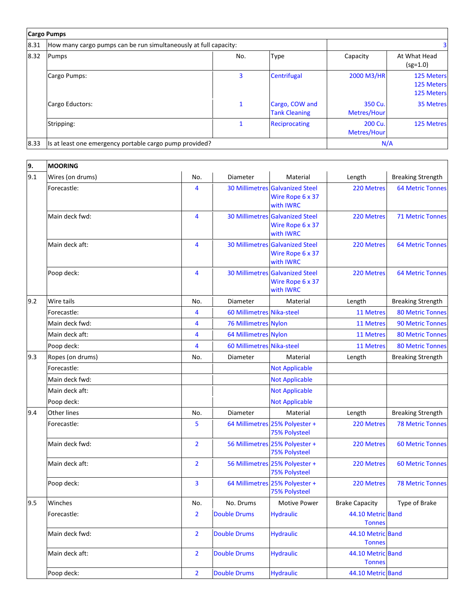|      | <b>Cargo Pumps</b>                                               |     |                                        |                        |                                        |
|------|------------------------------------------------------------------|-----|----------------------------------------|------------------------|----------------------------------------|
| 8.31 | How many cargo pumps can be run simultaneously at full capacity: |     |                                        |                        |                                        |
| 8.32 | Pumps                                                            | No. | <b>Type</b>                            | Capacity               | At What Head<br>$(sg=1.0)$             |
|      | Cargo Pumps:                                                     | 3   | Centrifugal                            | 2000 M3/HR             | 125 Meters<br>125 Meters<br>125 Meters |
|      | Cargo Eductors:                                                  |     | Cargo, COW and<br><b>Tank Cleaning</b> | 350 Cu.<br>Metres/Hour | 35 Metres                              |
|      | Stripping:                                                       |     | <b>Reciprocating</b>                   | 200 Cu.<br>Metres/Hour | 125 Metres                             |
| 8.33 | Is at least one emergency portable cargo pump provided?          |     |                                        | N/A                    |                                        |

| 9.  | <b>MOORING</b>     |                |                             |                                                                                |                                    |                          |
|-----|--------------------|----------------|-----------------------------|--------------------------------------------------------------------------------|------------------------------------|--------------------------|
| 9.1 | Wires (on drums)   | No.            | Diameter                    | Material                                                                       | Length                             | <b>Breaking Strength</b> |
|     | Forecastle:        | 4              |                             | <b>30 Millimetres Galvanized Steel</b><br>Wire Rope 6 x 37<br>with <b>IWRC</b> | 220 Metres                         | <b>64 Metric Tonnes</b>  |
|     | Main deck fwd:     | 4              |                             | <b>30 Millimetres Galvanized Steel</b><br>Wire Rope 6 x 37<br>with <b>IWRC</b> | 220 Metres                         | <b>71 Metric Tonnes</b>  |
|     | Main deck aft:     | $\overline{4}$ |                             | <b>30 Millimetres Galvanized Steel</b><br>Wire Rope 6 x 37<br>with <b>IWRC</b> | 220 Metres                         | <b>64 Metric Tonnes</b>  |
|     | Poop deck:         | 4              |                             | <b>30 Millimetres Galvanized Steel</b><br>Wire Rope 6 x 37<br>with <b>IWRC</b> | 220 Metres                         | <b>64 Metric Tonnes</b>  |
| 9.2 | Wire tails         | No.            | Diameter                    | Material                                                                       | Length                             | <b>Breaking Strength</b> |
|     | Forecastle:        | 4              | 60 Millimetres Nika-steel   |                                                                                | 11 Metres                          | <b>80 Metric Tonnes</b>  |
|     | Main deck fwd:     | 4              | <b>76 Millimetres Nylon</b> |                                                                                | 11 Metres                          | <b>90 Metric Tonnes</b>  |
|     | Main deck aft:     | 4              | 64 Millimetres Nylon        |                                                                                | 11 Metres                          | <b>80 Metric Tonnes</b>  |
|     | Poop deck:         | $\overline{4}$ | 60 Millimetres Nika-steel   |                                                                                | 11 Metres                          | <b>80 Metric Tonnes</b>  |
| 9.3 | Ropes (on drums)   | No.            | Diameter                    | Material                                                                       | Length                             | <b>Breaking Strength</b> |
|     | Forecastle:        |                |                             | <b>Not Applicable</b>                                                          |                                    |                          |
|     | Main deck fwd:     |                |                             | <b>Not Applicable</b>                                                          |                                    |                          |
|     | Main deck aft:     |                |                             | <b>Not Applicable</b>                                                          |                                    |                          |
|     | Poop deck:         |                |                             | <b>Not Applicable</b>                                                          |                                    |                          |
| 9.4 | <b>Other lines</b> | No.            | Diameter                    | Material                                                                       | Length                             | <b>Breaking Strength</b> |
|     | Forecastle:        | 5              |                             | 64 Millimetres 25% Polyester +<br><b>75% Polysteel</b>                         | 220 Metres                         | <b>78 Metric Tonnes</b>  |
|     | Main deck fwd:     | $\overline{2}$ |                             | 56 Millimetres 25% Polyester +<br><b>75% Polysteel</b>                         | 220 Metres                         | <b>60 Metric Tonnes</b>  |
|     | Main deck aft:     | $\overline{2}$ |                             | 56 Millimetres 25% Polyester +<br><b>75% Polysteel</b>                         | 220 Metres                         | <b>60 Metric Tonnes</b>  |
|     | Poop deck:         | 3              |                             | 64 Millimetres 25% Polyester +<br><b>75% Polysteel</b>                         | 220 Metres                         | <b>78 Metric Tonnes</b>  |
| 9.5 | Winches            | No.            | No. Drums                   | Motive Power                                                                   | <b>Brake Capacity</b>              | Type of Brake            |
|     | Forecastle:        | $\overline{2}$ | <b>Double Drums</b>         | <b>Hydraulic</b>                                                               | 44.10 Metric Band<br><b>Tonnes</b> |                          |
|     | Main deck fwd:     | $\overline{2}$ | <b>Double Drums</b>         | <b>Hydraulic</b>                                                               | 44.10 Metric Band<br><b>Tonnes</b> |                          |
|     | Main deck aft:     | $\overline{2}$ | <b>Double Drums</b>         | <b>Hydraulic</b>                                                               | 44.10 Metric Band<br><b>Tonnes</b> |                          |
|     | Poop deck:         | $\overline{2}$ | <b>Double Drums</b>         | <b>Hydraulic</b>                                                               | 44.10 Metric Band                  |                          |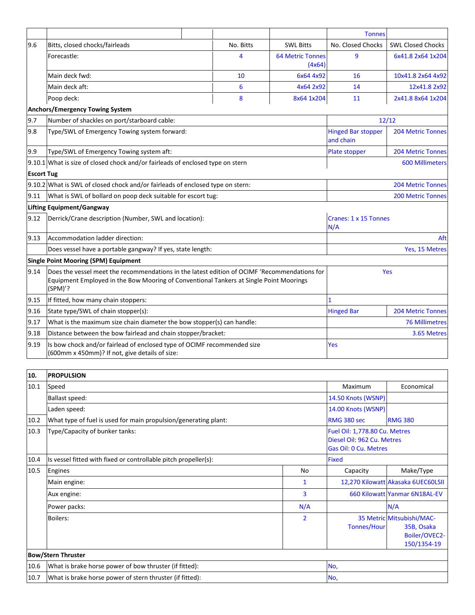|                   |                                                                                                                                                                                                   |  |           |                                   | <b>Tonnes</b>                          |                          |
|-------------------|---------------------------------------------------------------------------------------------------------------------------------------------------------------------------------------------------|--|-----------|-----------------------------------|----------------------------------------|--------------------------|
| 9.6               | Bitts, closed chocks/fairleads                                                                                                                                                                    |  | No. Bitts | <b>SWL Bitts</b>                  | No. Closed Chocks                      | <b>SWL Closed Chocks</b> |
|                   | Forecastle:                                                                                                                                                                                       |  | 4         | <b>64 Metric Tonnes</b><br>(4x64) | 9                                      | 6x41.8 2x64 1x204        |
|                   | Main deck fwd:                                                                                                                                                                                    |  | 10        | 6x64 4x92                         | 16                                     | 10x41.8 2x64 4x92        |
|                   | Main deck aft:                                                                                                                                                                                    |  | 6         | 4x64 2x92                         | 14                                     | 12x41.8 2x92             |
|                   | Poop deck:                                                                                                                                                                                        |  | 8         | 8x64 1x204                        | 11                                     | 2x41.8 8x64 1x204        |
|                   | <b>Anchors/Emergency Towing System</b>                                                                                                                                                            |  |           |                                   |                                        |                          |
| 9.7               | Number of shackles on port/starboard cable:                                                                                                                                                       |  |           |                                   |                                        | 12/12                    |
| 9.8               | Type/SWL of Emergency Towing system forward:                                                                                                                                                      |  |           |                                   | <b>Hinged Bar stopper</b><br>and chain | <b>204 Metric Tonnes</b> |
| 9.9               | Type/SWL of Emergency Towing system aft:                                                                                                                                                          |  |           |                                   | Plate stopper                          | <b>204 Metric Tonnes</b> |
|                   | 9.10.1 What is size of closed chock and/or fairleads of enclosed type on stern                                                                                                                    |  |           |                                   | <b>600 Millimeters</b>                 |                          |
| <b>Escort Tug</b> |                                                                                                                                                                                                   |  |           |                                   |                                        |                          |
|                   | 9.10.2 What is SWL of closed chock and/or fairleads of enclosed type on stern:                                                                                                                    |  |           | <b>204 Metric Tonnes</b>          |                                        |                          |
| 9.11              | What is SWL of bollard on poop deck suitable for escort tug:                                                                                                                                      |  |           | <b>200 Metric Tonnes</b>          |                                        |                          |
|                   | Lifting Equipment/Gangway                                                                                                                                                                         |  |           |                                   |                                        |                          |
| 9.12              | Derrick/Crane description (Number, SWL and location):                                                                                                                                             |  |           | Cranes: 1 x 15 Tonnes<br>N/A      |                                        |                          |
| 9.13              | Accommodation ladder direction:                                                                                                                                                                   |  | Aft       |                                   |                                        |                          |
|                   | Does vessel have a portable gangway? If yes, state length:                                                                                                                                        |  |           | Yes, 15 Metres                    |                                        |                          |
|                   | <b>Single Point Mooring (SPM) Equipment</b>                                                                                                                                                       |  |           |                                   |                                        |                          |
| 9.14              | Does the vessel meet the recommendations in the latest edition of OCIMF 'Recommendations for<br>Equipment Employed in the Bow Mooring of Conventional Tankers at Single Point Moorings<br>(SPM)'? |  |           | Yes                               |                                        |                          |
| 9.15              | If fitted, how many chain stoppers:                                                                                                                                                               |  |           |                                   |                                        |                          |
| 9.16              | State type/SWL of chain stopper(s):                                                                                                                                                               |  |           | <b>Hinged Bar</b>                 | <b>204 Metric Tonnes</b>               |                          |
| 9.17              | What is the maximum size chain diameter the bow stopper(s) can handle:                                                                                                                            |  |           | <b>76 Millimetres</b>             |                                        |                          |
| 9.18              | Distance between the bow fairlead and chain stopper/bracket:                                                                                                                                      |  |           | 3.65 Metres                       |                                        |                          |
| 9.19              | Is bow chock and/or fairlead of enclosed type of OCIMF recommended size<br>(600mm x 450mm)? If not, give details of size:                                                                         |  |           | Yes                               |                                        |                          |

| 10.  | <b>PROPULSION</b>                                               |                    |                                                                                      |                                                                         |  |
|------|-----------------------------------------------------------------|--------------------|--------------------------------------------------------------------------------------|-------------------------------------------------------------------------|--|
| 10.1 | Speed                                                           |                    | Maximum                                                                              | Economical                                                              |  |
|      | Ballast speed:                                                  | 14.50 Knots (WSNP) |                                                                                      |                                                                         |  |
|      | Laden speed:                                                    | 14.00 Knots (WSNP) |                                                                                      |                                                                         |  |
| 10.2 | What type of fuel is used for main propulsion/generating plant: |                    | RMG 380 sec                                                                          | <b>RMG 380</b>                                                          |  |
| 10.3 | Type/Capacity of bunker tanks:                                  |                    | Fuel Oil: 1,778.80 Cu. Metres<br>Diesel Oil: 962 Cu. Metres<br>Gas Oil: 0 Cu. Metres |                                                                         |  |
| 10.4 | Is vessel fitted with fixed or controllable pitch propeller(s): |                    | <b>Fixed</b>                                                                         |                                                                         |  |
| 10.5 | Engines                                                         | No                 | Capacity                                                                             | Make/Type                                                               |  |
|      | Main engine:                                                    | 1                  |                                                                                      | 12,270 Kilowatt Akasaka 6UEC60LSII                                      |  |
|      | Aux engine:                                                     | 3                  |                                                                                      | 660 Kilowatt Yanmar 6N18AL-EV                                           |  |
|      | Power packs:                                                    | N/A                |                                                                                      | N/A                                                                     |  |
|      | Boilers:                                                        | $\overline{2}$     | <b>Tonnes/Hour</b>                                                                   | 35 Metric Mitsubishi/MAC-<br>35B, Osaka<br>Boiler/OVEC2-<br>150/1354-19 |  |
|      | <b>Bow/Stern Thruster</b>                                       |                    |                                                                                      |                                                                         |  |
| 10.6 | What is brake horse power of bow thruster (if fitted):          |                    |                                                                                      | No,                                                                     |  |
| 10.7 | What is brake horse power of stern thruster (if fitted):<br>No, |                    |                                                                                      |                                                                         |  |